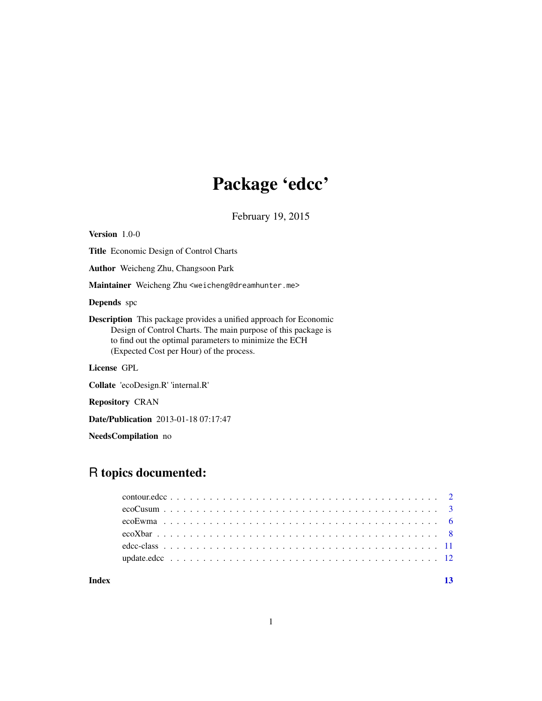# Package 'edcc'

February 19, 2015

<span id="page-0-0"></span>Version 1.0-0 Title Economic Design of Control Charts Author Weicheng Zhu, Changsoon Park Maintainer Weicheng Zhu <weicheng@dreamhunter.me> Depends spc Description This package provides a unified approach for Economic Design of Control Charts. The main purpose of this package is to find out the optimal parameters to minimize the ECH (Expected Cost per Hour) of the process. License GPL Collate 'ecoDesign.R' 'internal.R' Repository CRAN

Date/Publication 2013-01-18 07:17:47

NeedsCompilation no

# R topics documented:

#### **Index** [13](#page-12-0)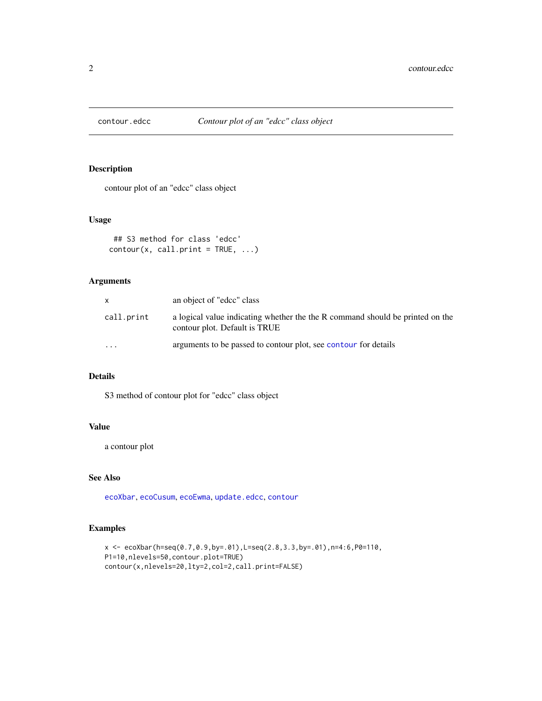<span id="page-1-0"></span>

# Description

contour plot of an "edcc" class object

# Usage

```
## S3 method for class 'edcc'
contour(x, call.print = TRUE, ...)
```
# Arguments

| X.         | an object of "edcc" class                                                                                      |
|------------|----------------------------------------------------------------------------------------------------------------|
| call.print | a logical value indicating whether the the R command should be printed on the<br>contour plot. Default is TRUE |
| $\cdot$    | arguments to be passed to contour plot, see contour for details                                                |

# Details

S3 method of contour plot for "edcc" class object

# Value

a contour plot

# See Also

[ecoXbar](#page-7-1), [ecoCusum](#page-2-1), [ecoEwma](#page-5-1), [update.edcc](#page-11-1), [contour](#page-0-0)

# Examples

```
x <- ecoXbar(h=seq(0.7,0.9,by=.01),L=seq(2.8,3.3,by=.01),n=4:6,P0=110,
P1=10,nlevels=50,contour.plot=TRUE)
contour(x,nlevels=20,lty=2,col=2,call.print=FALSE)
```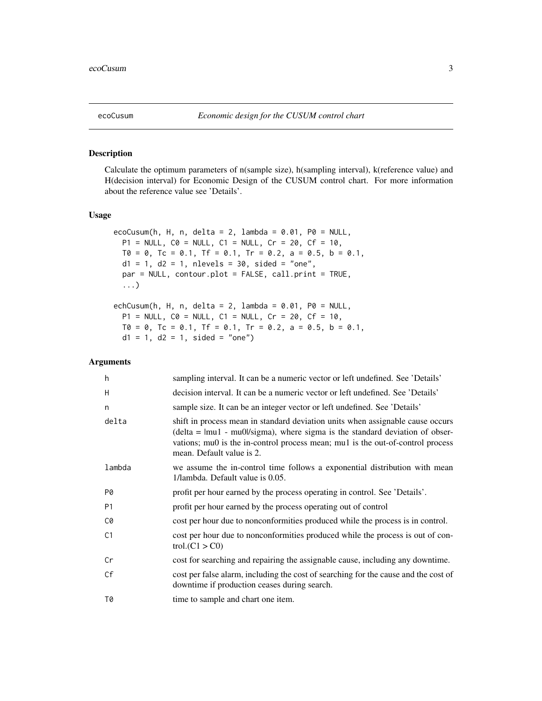<span id="page-2-1"></span><span id="page-2-0"></span>

#### Description

Calculate the optimum parameters of n(sample size), h(sampling interval), k(reference value) and H(decision interval) for Economic Design of the CUSUM control chart. For more information about the reference value see 'Details'.

# Usage

```
ecoCusum(h, H, n, delta = 2, lambda = 0.01, P0 = NULL,
 P1 = NULL, CO = NULL, C1 = NULL, Cr = 20, CF = 10,T0 = 0, Tc = 0.1, Tf = 0.1, Tr = 0.2, a = 0.5, b = 0.1,
  d1 = 1, d2 = 1, nlevels = 30, sided = "one",
  par = NULL, contour.plot = FALSE, call.print = TRUE,
  ...)
echCusum(h, H, n, delta = 2, lambda = 0.01, P0 = NULL,
```

```
P1 = NULL, CO = NULL, C1 = NULL, Cr = 20, CF = 10,
T0 = 0, Tc = 0.1, Tf = 0.1, Tr = 0.2, a = 0.5, b = 0.1,
d1 = 1, d2 = 1, sided = "one")
```
#### Arguments

| h              | sampling interval. It can be a numeric vector or left undefined. See 'Details'                                                                                                                                                                                                   |
|----------------|----------------------------------------------------------------------------------------------------------------------------------------------------------------------------------------------------------------------------------------------------------------------------------|
| H              | decision interval. It can be a numeric vector or left undefined. See 'Details'                                                                                                                                                                                                   |
| n              | sample size. It can be an integer vector or left undefined. See 'Details'                                                                                                                                                                                                        |
| delta          | shift in process mean in standard deviation units when assignable cause occurs<br>$delta =  mul - mu0  / sigma$ , where sigma is the standard deviation of obser-<br>vations; mu0 is the in-control process mean; mu1 is the out-of-control process<br>mean. Default value is 2. |
| lambda         | we assume the in-control time follows a exponential distribution with mean<br>1/lambda. Default value is 0.05.                                                                                                                                                                   |
| P0             | profit per hour earned by the process operating in control. See 'Details'.                                                                                                                                                                                                       |
| P <sub>1</sub> | profit per hour earned by the process operating out of control                                                                                                                                                                                                                   |
| C0             | cost per hour due to nonconformities produced while the process is in control.                                                                                                                                                                                                   |
| C <sub>1</sub> | cost per hour due to nonconformities produced while the process is out of con-<br>trol(C1 > C0)                                                                                                                                                                                  |
| Cr             | cost for searching and repairing the assignable cause, including any downtime.                                                                                                                                                                                                   |
| Cf             | cost per false alarm, including the cost of searching for the cause and the cost of<br>downtime if production ceases during search.                                                                                                                                              |
| T0             | time to sample and chart one item.                                                                                                                                                                                                                                               |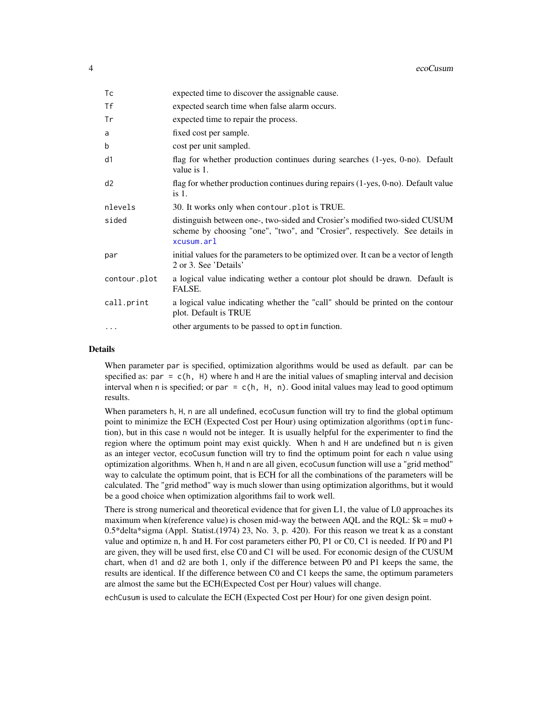<span id="page-3-0"></span>

| Tc           | expected time to discover the assignable cause.                                                                                                                          |
|--------------|--------------------------------------------------------------------------------------------------------------------------------------------------------------------------|
| <b>Tf</b>    | expected search time when false alarm occurs.                                                                                                                            |
| Tr           | expected time to repair the process.                                                                                                                                     |
| a            | fixed cost per sample.                                                                                                                                                   |
| b            | cost per unit sampled.                                                                                                                                                   |
| d1           | flag for whether production continues during searches (1-yes, 0-no). Default<br>value is 1.                                                                              |
| d2           | flag for whether production continues during repairs (1-yes, 0-no). Default value<br>is 1.                                                                               |
| nlevels      | 30. It works only when contour plot is TRUE.                                                                                                                             |
| sided        | distinguish between one-, two-sided and Crosier's modified two-sided CUSUM<br>scheme by choosing "one", "two", and "Crosier", respectively. See details in<br>xcusum.arl |
| par          | initial values for the parameters to be optimized over. It can be a vector of length<br>2 or 3. See 'Details'                                                            |
| contour.plot | a logical value indicating wether a contour plot should be drawn. Default is<br>FALSE.                                                                                   |
| call.print   | a logical value indicating whether the "call" should be printed on the contour<br>plot. Default is TRUE                                                                  |
| $\cdot$      | other arguments to be passed to optim function.                                                                                                                          |

#### Details

When parameter par is specified, optimization algorithms would be used as default. par can be specified as:  $par = c(h, H)$  where h and H are the initial values of smapling interval and decision interval when n is specified; or par =  $c(h, H, n)$ . Good inital values may lead to good optimum results.

When parameters h, H, n are all undefined, ecoCusum function will try to find the global optimum point to minimize the ECH (Expected Cost per Hour) using optimization algorithms (optim function), but in this case n would not be integer. It is usually helpful for the experimenter to find the region where the optimum point may exist quickly. When h and H are undefined but n is given as an integer vector, ecoCusum function will try to find the optimum point for each n value using optimization algorithms. When h, H and n are all given, ecoCusum function will use a "grid method" way to calculate the optimum point, that is ECH for all the combinations of the parameters will be calculated. The "grid method" way is much slower than using optimization algorithms, but it would be a good choice when optimization algorithms fail to work well.

There is strong numerical and theoretical evidence that for given L1, the value of L0 approaches its maximum when k(reference value) is chosen mid-way the between AQL and the RQL:  $k = mu0 +$ 0.5\*delta\*sigma (Appl. Statist.(1974) 23, No. 3, p. 420). For this reason we treat k as a constant value and optimize n, h and H. For cost parameters either P0, P1 or C0, C1 is needed. If P0 and P1 are given, they will be used first, else C0 and C1 will be used. For economic design of the CUSUM chart, when d1 and d2 are both 1, only if the difference between P0 and P1 keeps the same, the results are identical. If the difference between C0 and C1 keeps the same, the optimum parameters are almost the same but the ECH(Expected Cost per Hour) values will change.

echCusum is used to calculate the ECH (Expected Cost per Hour) for one given design point.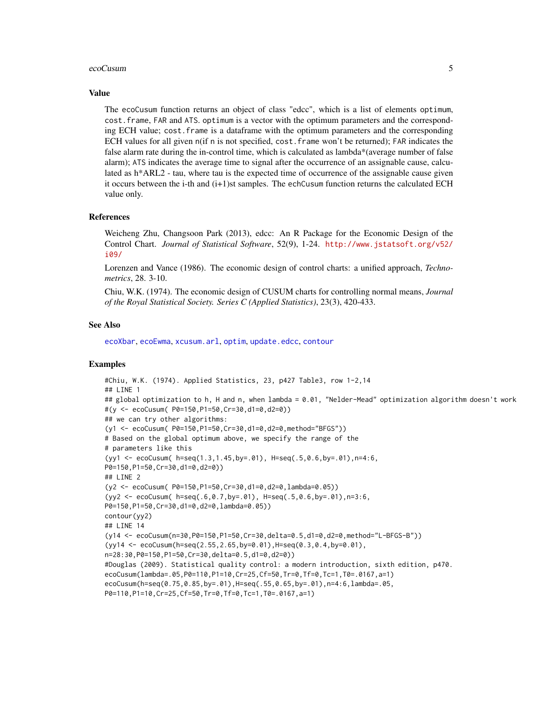#### <span id="page-4-0"></span>ecoCusum 5

#### Value

The ecoCusum function returns an object of class "edcc", which is a list of elements optimum, cost.frame, FAR and ATS. optimum is a vector with the optimum parameters and the corresponding ECH value; cost.frame is a dataframe with the optimum parameters and the corresponding ECH values for all given n(if n is not specified, cost.frame won't be returned); FAR indicates the false alarm rate during the in-control time, which is calculated as lambda\*(average number of false alarm); ATS indicates the average time to signal after the occurrence of an assignable cause, calculated as h\*ARL2 - tau, where tau is the expected time of occurrence of the assignable cause given it occurs between the i-th and (i+1)st samples. The echCusum function returns the calculated ECH value only.

#### References

Weicheng Zhu, Changsoon Park (2013), edcc: An R Package for the Economic Design of the Control Chart. *Journal of Statistical Software*, 52(9), 1-24. [http://www.jstatsoft.org/v52/](http://www.jstatsoft.org/v52/i09/) [i09/](http://www.jstatsoft.org/v52/i09/)

Lorenzen and Vance (1986). The economic design of control charts: a unified approach, *Technometrics*, 28. 3-10.

Chiu, W.K. (1974). The economic design of CUSUM charts for controlling normal means, *Journal of the Royal Statistical Society. Series C (Applied Statistics)*, 23(3), 420-433.

#### See Also

[ecoXbar](#page-7-1), [ecoEwma](#page-5-1), [xcusum.arl](#page-0-0), [optim](#page-0-0), [update.edcc](#page-11-1), [contour](#page-0-0)

# Examples

```
#Chiu, W.K. (1974). Applied Statistics, 23, p427 Table3, row 1-2,14
## LINE 1
## global optimization to h, H and n, when lambda = 0.01, "Nelder-Mead" optimization algorithm doesn't work
#(y <- ecoCusum( P0=150,P1=50,Cr=30,d1=0,d2=0))
## we can try other algorithms:
(y1 <- ecoCusum( P0=150,P1=50,Cr=30,d1=0,d2=0,method="BFGS"))
# Based on the global optimum above, we specify the range of the
# parameters like this
(yy1 <- ecoCusum( h=seq(1.3,1.45,by=.01), H=seq(.5,0.6,by=.01),n=4:6,
P0=150,P1=50,Cr=30,d1=0,d2=0))
## LINE 2
(y2 <- ecoCusum( P0=150,P1=50,Cr=30,d1=0,d2=0,lambda=0.05))
(yy2 <- ecoCusum( h=seq(.6,0.7,by=.01), H=seq(.5,0.6,by=.01),n=3:6,
P0=150,P1=50,Cr=30,d1=0,d2=0,lambda=0.05))
contour(yy2)
## LINE 14
(y14 <- ecoCusum(n=30,P0=150,P1=50,Cr=30,delta=0.5,d1=0,d2=0,method="L-BFGS-B"))
(yy14 <- ecoCusum(h=seq(2.55,2.65,by=0.01),H=seq(0.3,0.4,by=0.01),
n=28:30,P0=150,P1=50,Cr=30,delta=0.5,d1=0,d2=0))
#Douglas (2009). Statistical quality control: a modern introduction, sixth edition, p470.
ecoCusum(lambda=.05,P0=110,P1=10,Cr=25,Cf=50,Tr=0,Tf=0,Tc=1,T0=.0167,a=1)
ecoCusum(h=seq(0.75,0.85,by=.01),H=seq(.55,0.65,by=.01),n=4:6,lambda=.05,
P0=110,P1=10,Cr=25,Cf=50,Tr=0,Tf=0,Tc=1,T0=.0167,a=1)
```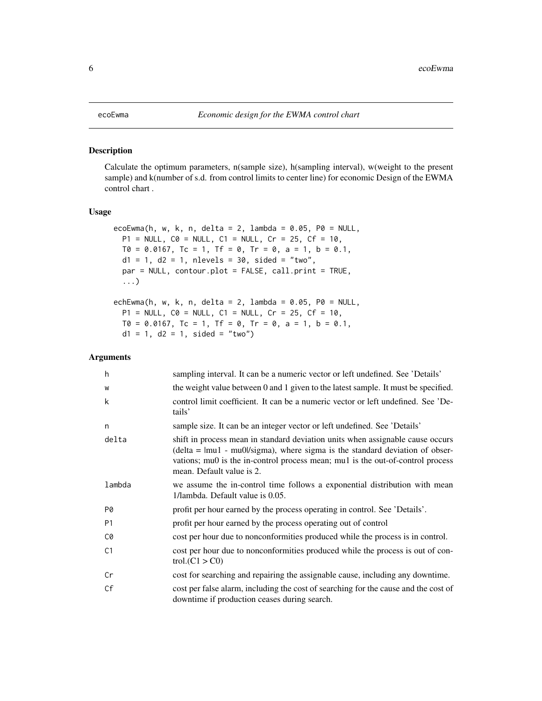# <span id="page-5-1"></span><span id="page-5-0"></span>Description

Calculate the optimum parameters, n(sample size), h(sampling interval), w(weight to the present sample) and k(number of s.d. from control limits to center line) for economic Design of the EWMA control chart .

# Usage

```
ecoEwma(h, w, k, n, delta = 2, lambda = 0.05, P0 = NULL,
 P1 = NULL, CO = NULL, C1 = NULL, Cr = 25, CF = 10,
 T0 = 0.0167, Tc = 1, Tf = 0, Tr = 0, a = 1, b = 0.1,
 d1 = 1, d2 = 1, nlevels = 30, sided = "two",
 par = NULL, contour.plot = FALSE, call.print = TRUE,
  ...)
echEwma(h, w, k, n, delta = 2, lambda = 0.05, P0 = NULL,
 P1 = NULL, CO = NULL, C1 = NULL, Cr = 25, CF = 10,
 T0 = 0.0167, Tc = 1, Tf = 0, Tr = 0, a = 1, b = 0.1,
 d1 = 1, d2 = 1, sided = "two")
```
#### Arguments

| h              | sampling interval. It can be a numeric vector or left undefined. See 'Details'                                                                                                                                                                                                 |
|----------------|--------------------------------------------------------------------------------------------------------------------------------------------------------------------------------------------------------------------------------------------------------------------------------|
| W              | the weight value between 0 and 1 given to the latest sample. It must be specified.                                                                                                                                                                                             |
| k              | control limit coefficient. It can be a numeric vector or left undefined. See 'De-<br>tails'                                                                                                                                                                                    |
| n              | sample size. It can be an integer vector or left undefined. See 'Details'                                                                                                                                                                                                      |
| delta          | shift in process mean in standard deviation units when assignable cause occurs<br>$delta =  mul - mu0 /sigma$ , where sigma is the standard deviation of obser-<br>vations; mu0 is the in-control process mean; mu1 is the out-of-control process<br>mean. Default value is 2. |
| lambda         | we assume the in-control time follows a exponential distribution with mean<br>1/lambda. Default value is 0.05.                                                                                                                                                                 |
| P0             | profit per hour earned by the process operating in control. See 'Details'.                                                                                                                                                                                                     |
| <b>P1</b>      | profit per hour earned by the process operating out of control                                                                                                                                                                                                                 |
| C0             | cost per hour due to nonconformities produced while the process is in control.                                                                                                                                                                                                 |
| C <sub>1</sub> | cost per hour due to nonconformities produced while the process is out of con-<br>trol(C1 > C0)                                                                                                                                                                                |
| Cr             | cost for searching and repairing the assignable cause, including any downtime.                                                                                                                                                                                                 |
| Cf             | cost per false alarm, including the cost of searching for the cause and the cost of<br>downtime if production ceases during search.                                                                                                                                            |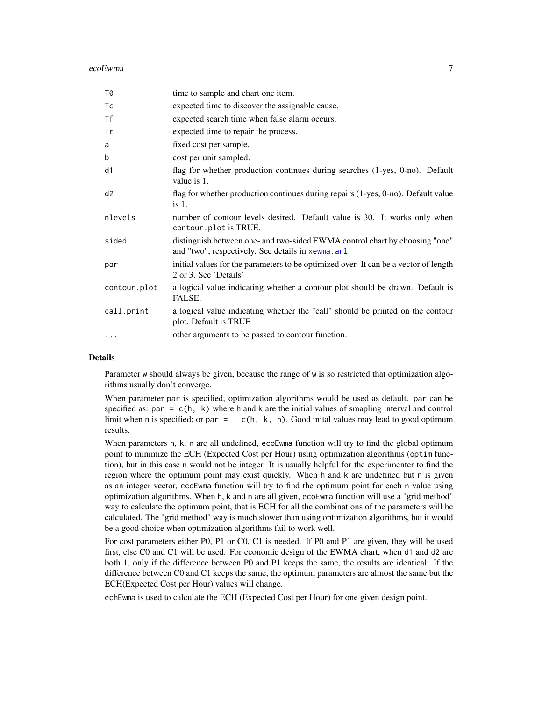#### <span id="page-6-0"></span>ecoEwma 7

| T0           | time to sample and chart one item.                                                                                               |
|--------------|----------------------------------------------------------------------------------------------------------------------------------|
| Tc           | expected time to discover the assignable cause.                                                                                  |
| Τf           | expected search time when false alarm occurs.                                                                                    |
| Tr           | expected time to repair the process.                                                                                             |
| a            | fixed cost per sample.                                                                                                           |
| b            | cost per unit sampled.                                                                                                           |
| d1           | flag for whether production continues during searches $(1$ -yes, $0$ -no). Default<br>value is 1.                                |
| d2           | flag for whether production continues during repairs (1-yes, 0-no). Default value<br>is $1$ .                                    |
| nlevels      | number of contour levels desired. Default value is 30. It works only when<br>contour.plot is TRUE.                               |
| sided        | distinguish between one- and two-sided EWMA control chart by choosing "one"<br>and "two", respectively. See details in xewma.arl |
| par          | initial values for the parameters to be optimized over. It can be a vector of length<br>2 or 3. See 'Details'                    |
| contour.plot | a logical value indicating whether a contour plot should be drawn. Default is<br>FALSE.                                          |
| call.print   | a logical value indicating whether the "call" should be printed on the contour<br>plot. Default is TRUE                          |
| $\cdots$     | other arguments to be passed to contour function.                                                                                |

## Details

Parameter w should always be given, because the range of w is so restricted that optimization algorithms usually don't converge.

When parameter par is specified, optimization algorithms would be used as default. par can be specified as:  $par = c(h, k)$  where h and k are the initial values of smapling interval and control limit when n is specified; or par =  $c(h, k, n)$ . Good inital values may lead to good optimum results.

When parameters h, k, n are all undefined, ecoEwma function will try to find the global optimum point to minimize the ECH (Expected Cost per Hour) using optimization algorithms (optim function), but in this case n would not be integer. It is usually helpful for the experimenter to find the region where the optimum point may exist quickly. When h and k are undefined but n is given as an integer vector, ecoEwma function will try to find the optimum point for each n value using optimization algorithms. When h, k and n are all given, ecoEwma function will use a "grid method" way to calculate the optimum point, that is ECH for all the combinations of the parameters will be calculated. The "grid method" way is much slower than using optimization algorithms, but it would be a good choice when optimization algorithms fail to work well.

For cost parameters either P0, P1 or C0, C1 is needed. If P0 and P1 are given, they will be used first, else C0 and C1 will be used. For economic design of the EWMA chart, when d1 and d2 are both 1, only if the difference between P0 and P1 keeps the same, the results are identical. If the difference between C0 and C1 keeps the same, the optimum parameters are almost the same but the ECH(Expected Cost per Hour) values will change.

echEwma is used to calculate the ECH (Expected Cost per Hour) for one given design point.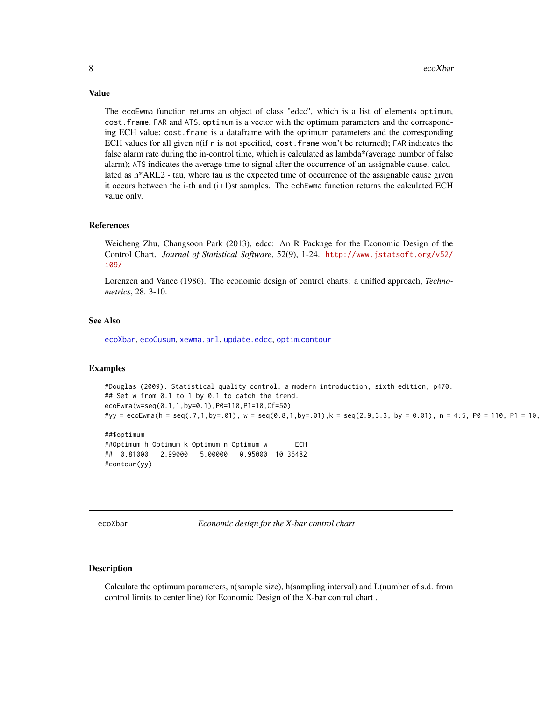Value

The ecoEwma function returns an object of class "edcc", which is a list of elements optimum, cost.frame, FAR and ATS. optimum is a vector with the optimum parameters and the corresponding ECH value; cost.frame is a dataframe with the optimum parameters and the corresponding ECH values for all given n(if n is not specified, cost.frame won't be returned); FAR indicates the false alarm rate during the in-control time, which is calculated as lambda\*(average number of false alarm); ATS indicates the average time to signal after the occurrence of an assignable cause, calculated as h\*ARL2 - tau, where tau is the expected time of occurrence of the assignable cause given it occurs between the i-th and (i+1)st samples. The echEwma function returns the calculated ECH value only.

#### References

Weicheng Zhu, Changsoon Park (2013), edcc: An R Package for the Economic Design of the Control Chart. *Journal of Statistical Software*, 52(9), 1-24. [http://www.jstatsoft.org/v52/](http://www.jstatsoft.org/v52/i09/) [i09/](http://www.jstatsoft.org/v52/i09/)

Lorenzen and Vance (1986). The economic design of control charts: a unified approach, *Technometrics*, 28. 3-10.

# See Also

[ecoXbar](#page-7-1), [ecoCusum](#page-2-1), [xewma.arl](#page-0-0), [update.edcc](#page-11-1), [optim](#page-0-0),[contour](#page-0-0)

#### Examples

```
#Douglas (2009). Statistical quality control: a modern introduction, sixth edition, p470.
## Set w from 0.1 to 1 by 0.1 to catch the trend.
ecoEwma(w=seq(0.1,1,by=0.1),P0=110,P1=10,Cf=50)
#yy = ecoEwma(h = seq(.7,1,by=.01), w = seq(0.8,1,by=.01),k = seq(2.9,3.3, by = 0.01), n = 4:5, P0 = 110, P1 = 10,
```

```
##$optimum
##Optimum h Optimum k Optimum n Optimum w ECH
## 0.81000 2.99000 5.00000 0.95000 10.36482
#contour(yy)
```
<span id="page-7-1"></span>ecoXbar *Economic design for the X-bar control chart*

# Description

Calculate the optimum parameters, n(sample size), h(sampling interval) and L(number of s.d. from control limits to center line) for Economic Design of the X-bar control chart .

<span id="page-7-0"></span>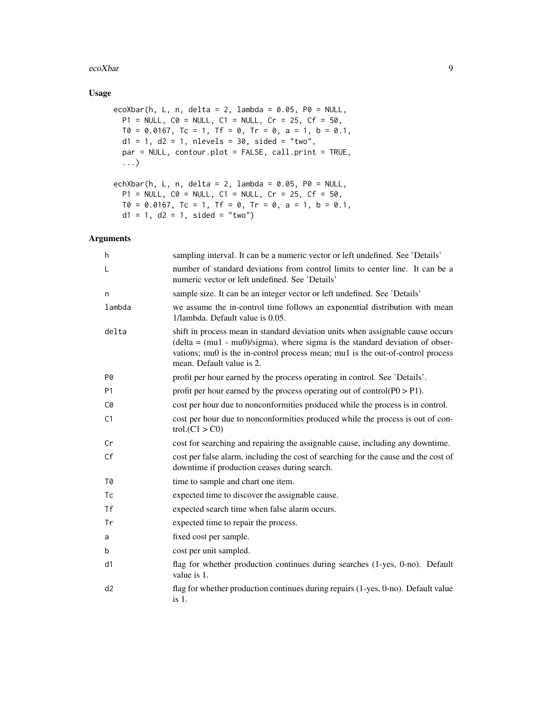#### ecoXbar 9

# Usage

```
ecoXbar(h, L, n, delta = 2, lambda = 0.05, P0 = NULL,
 P1 = NULL, CO = NULL, C1 = NULL, Cr = 25, CF = 50,
 T0 = 0.0167, Tc = 1, Tf = 0, Tr = 0, a = 1, b = 0.1,
 d1 = 1, d2 = 1, nlevels = 30, sided = "two",
 par = NULL, contour.plot = FALSE, call.print = TRUE,
  ...)
echXbar(h, L, n, delta = 2, lambda = 0.05, P0 = NULL,
 P1 = NULL, CO = NULL, C1 = NULL, Cr = 25, Cf = 50,T0 = 0.0167, Tc = 1, Tf = 0, Tr = 0, a = 1, b = 0.1,
 d1 = 1, d2 = 1, sided = "two")
```
# Arguments

| h         | sampling interval. It can be a numeric vector or left undefined. See 'Details'                                                                                                                                                                                                  |
|-----------|---------------------------------------------------------------------------------------------------------------------------------------------------------------------------------------------------------------------------------------------------------------------------------|
| L         | number of standard deviations from control limits to center line. It can be a<br>numeric vector or left undefined. See 'Details'                                                                                                                                                |
| n         | sample size. It can be an integer vector or left undefined. See 'Details'                                                                                                                                                                                                       |
| lambda    | we assume the in-control time follows an exponential distribution with mean<br>1/lambda. Default value is 0.05.                                                                                                                                                                 |
| delta     | shift in process mean in standard deviation units when assignable cause occurs<br>$delta = (mul - mu0)/sigma)$ , where sigma is the standard deviation of obser-<br>vations; mu0 is the in-control process mean; mu1 is the out-of-control process<br>mean. Default value is 2. |
| P0        | profit per hour earned by the process operating in control. See 'Details'.                                                                                                                                                                                                      |
| <b>P1</b> | profit per hour earned by the process operating out of control( $P0 > P1$ ).                                                                                                                                                                                                    |
| C0        | cost per hour due to nonconformities produced while the process is in control.                                                                                                                                                                                                  |
| C1        | cost per hour due to nonconformities produced while the process is out of con-<br>trol.(C1 > C0)                                                                                                                                                                                |
| Cr        | cost for searching and repairing the assignable cause, including any downtime.                                                                                                                                                                                                  |
| Cf        | cost per false alarm, including the cost of searching for the cause and the cost of<br>downtime if production ceases during search.                                                                                                                                             |
| T0        | time to sample and chart one item.                                                                                                                                                                                                                                              |
| Tc        | expected time to discover the assignable cause.                                                                                                                                                                                                                                 |
| <b>Tf</b> | expected search time when false alarm occurs.                                                                                                                                                                                                                                   |
| Tr        | expected time to repair the process.                                                                                                                                                                                                                                            |
| a         | fixed cost per sample.                                                                                                                                                                                                                                                          |
| b         | cost per unit sampled.                                                                                                                                                                                                                                                          |
| d1        | flag for whether production continues during searches (1-yes, 0-no). Default<br>value is 1.                                                                                                                                                                                     |
| d2        | flag for whether production continues during repairs (1-yes, 0-no). Default value<br>$is1$ .                                                                                                                                                                                    |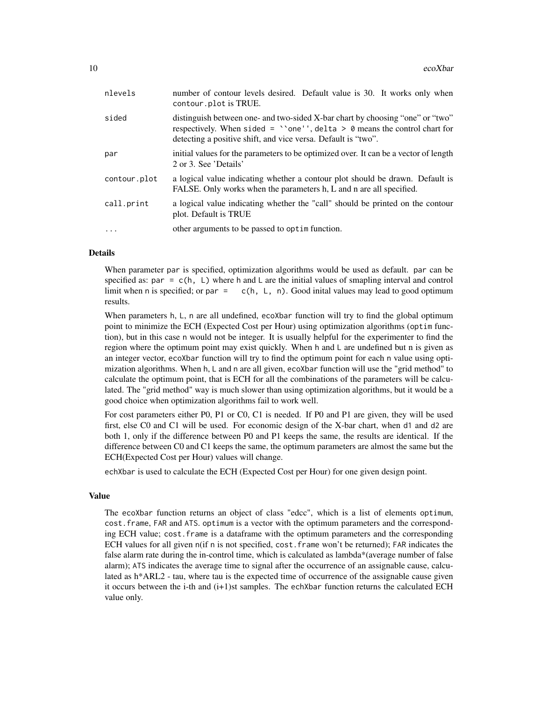| nlevels      | number of contour levels desired. Default value is 30. It works only when<br>contour.plot is TRUE.                                                                                                                                  |
|--------------|-------------------------------------------------------------------------------------------------------------------------------------------------------------------------------------------------------------------------------------|
| sided        | distinguish between one- and two-sided X-bar chart by choosing "one" or "two"<br>respectively. When sided = $\degree$ one'', delta > 0 means the control chart for<br>detecting a positive shift, and vice versa. Default is "two". |
| par          | initial values for the parameters to be optimized over. It can be a vector of length<br>2 or 3. See 'Details'                                                                                                                       |
| contour.plot | a logical value indicating whether a contour plot should be drawn. Default is<br>FALSE. Only works when the parameters h, L and n are all specified.                                                                                |
| call.print   | a logical value indicating whether the "call" should be printed on the contour<br>plot. Default is TRUE                                                                                                                             |
| .            | other arguments to be passed to optime function.                                                                                                                                                                                    |
|              |                                                                                                                                                                                                                                     |

# Details

When parameter par is specified, optimization algorithms would be used as default. par can be specified as: par =  $c(h, L)$  where h and L are the initial values of smapling interval and control limit when n is specified; or par =  $c(h, L, n)$ . Good inital values may lead to good optimum results.

When parameters h, L, n are all undefined, ecoXbar function will try to find the global optimum point to minimize the ECH (Expected Cost per Hour) using optimization algorithms (optim function), but in this case n would not be integer. It is usually helpful for the experimenter to find the region where the optimum point may exist quickly. When h and L are undefined but n is given as an integer vector, ecoXbar function will try to find the optimum point for each n value using optimization algorithms. When h, L and n are all given, ecoXbar function will use the "grid method" to calculate the optimum point, that is ECH for all the combinations of the parameters will be calculated. The "grid method" way is much slower than using optimization algorithms, but it would be a good choice when optimization algorithms fail to work well.

For cost parameters either P0, P1 or C0, C1 is needed. If P0 and P1 are given, they will be used first, else C0 and C1 will be used. For economic design of the X-bar chart, when d1 and d2 are both 1, only if the difference between P0 and P1 keeps the same, the results are identical. If the difference between C0 and C1 keeps the same, the optimum parameters are almost the same but the ECH(Expected Cost per Hour) values will change.

echXbar is used to calculate the ECH (Expected Cost per Hour) for one given design point.

# Value

The ecoXbar function returns an object of class "edcc", which is a list of elements optimum, cost.frame, FAR and ATS. optimum is a vector with the optimum parameters and the corresponding ECH value; cost.frame is a dataframe with the optimum parameters and the corresponding ECH values for all given n(if n is not specified, cost.frame won't be returned); FAR indicates the false alarm rate during the in-control time, which is calculated as lambda\*(average number of false alarm); ATS indicates the average time to signal after the occurrence of an assignable cause, calculated as h\*ARL2 - tau, where tau is the expected time of occurrence of the assignable cause given it occurs between the i-th and (i+1)st samples. The echXbar function returns the calculated ECH value only.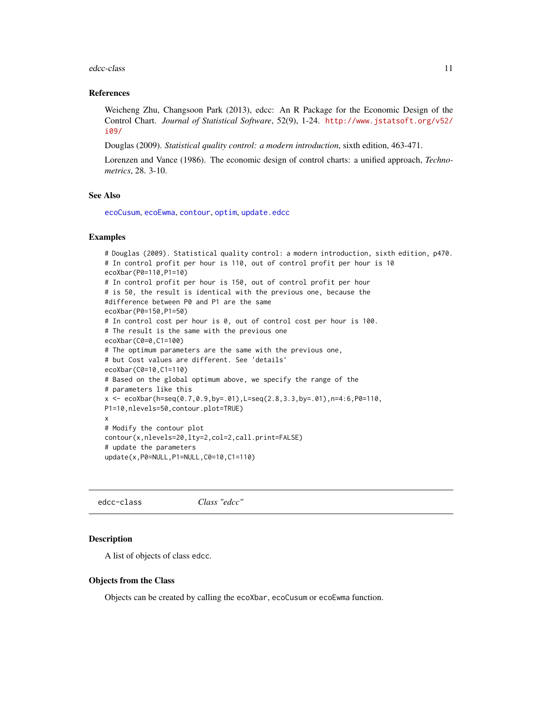#### <span id="page-10-0"></span>edcc-class and the set of the set of the set of the set of the set of the set of the set of the set of the set of the set of the set of the set of the set of the set of the set of the set of the set of the set of the set o

#### References

Weicheng Zhu, Changsoon Park (2013), edcc: An R Package for the Economic Design of the Control Chart. *Journal of Statistical Software*, 52(9), 1-24. [http://www.jstatsoft.org/v52/](http://www.jstatsoft.org/v52/i09/) [i09/](http://www.jstatsoft.org/v52/i09/)

Douglas (2009). *Statistical quality control: a modern introduction*, sixth edition, 463-471.

Lorenzen and Vance (1986). The economic design of control charts: a unified approach, *Technometrics*, 28. 3-10.

# See Also

[ecoCusum](#page-2-1), [ecoEwma](#page-5-1), [contour](#page-0-0), [optim](#page-0-0), [update.edcc](#page-11-1)

#### Examples

```
# Douglas (2009). Statistical quality control: a modern introduction, sixth edition, p470.
# In control profit per hour is 110, out of control profit per hour is 10
ecoXbar(P0=110,P1=10)
# In control profit per hour is 150, out of control profit per hour
# is 50, the result is identical with the previous one, because the
#difference between P0 and P1 are the same
ecoXbar(P0=150,P1=50)
# In control cost per hour is 0, out of control cost per hour is 100.
# The result is the same with the previous one
ecoXbar(C0=0,C1=100)
# The optimum parameters are the same with the previous one,
# but Cost values are different. See 'details'
ecoXbar(C0=10,C1=110)
# Based on the global optimum above, we specify the range of the
# parameters like this
x <- ecoXbar(h=seq(0.7,0.9,by=.01),L=seq(2.8,3.3,by=.01),n=4:6,P0=110,
P1=10,nlevels=50,contour.plot=TRUE)
x
# Modify the contour plot
contour(x,nlevels=20,lty=2,col=2,call.print=FALSE)
# update the parameters
update(x,P0=NULL,P1=NULL,C0=10,C1=110)
```
edcc-class *Class "edcc"*

#### Description

A list of objects of class edcc.

#### Objects from the Class

Objects can be created by calling the ecoXbar, ecoCusum or ecoEwma function.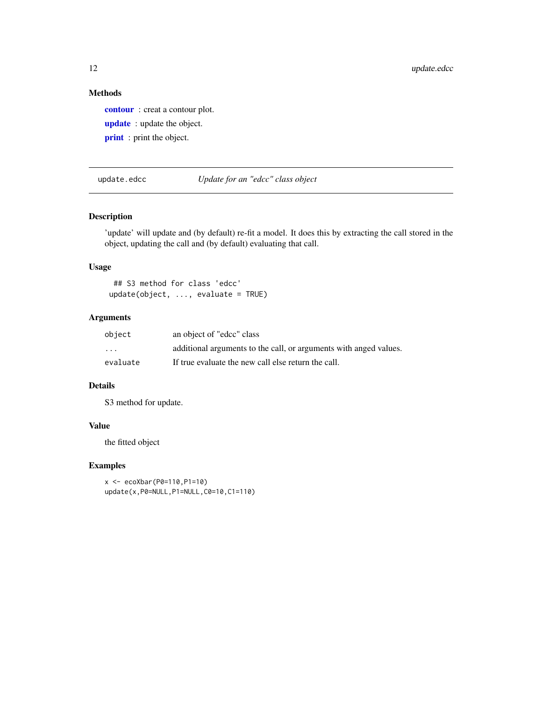# Methods

[contour](#page-0-0) : creat a contour plot. [update](#page-0-0) : update the object. **[print](#page-0-0)** : print the object.

<span id="page-11-1"></span>update.edcc *Update for an "edcc" class object*

# Description

'update' will update and (by default) re-fit a model. It does this by extracting the call stored in the object, updating the call and (by default) evaluating that call.

### Usage

## S3 method for class 'edcc'  $update(object, ..., evaluate = TRUE)$ 

# Arguments

| object                  | an object of "edcc" class                                         |
|-------------------------|-------------------------------------------------------------------|
| $\cdot$ $\cdot$ $\cdot$ | additional arguments to the call, or arguments with anged values. |
| evaluate                | If true evaluate the new call else return the call.               |

# Details

S3 method for update.

# Value

the fitted object

# Examples

```
x <- ecoXbar(P0=110,P1=10)
update(x,P0=NULL,P1=NULL,C0=10,C1=110)
```
<span id="page-11-0"></span>